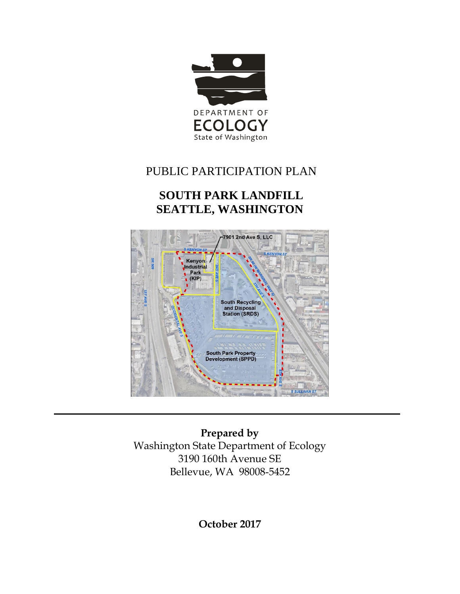

# PUBLIC PARTICIPATION PLAN

# **SOUTH PARK LANDFILL SEATTLE, WASHINGTON**



**Prepared by** Washington State Department of Ecology 3190 160th Avenue SE Bellevue, WA 98008-5452

**October 2017**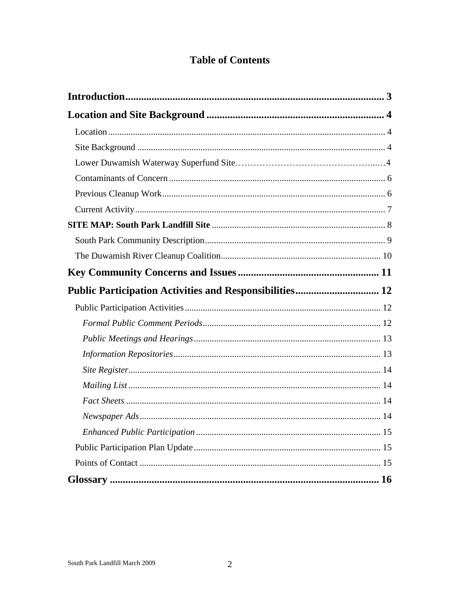# **Table of Contents**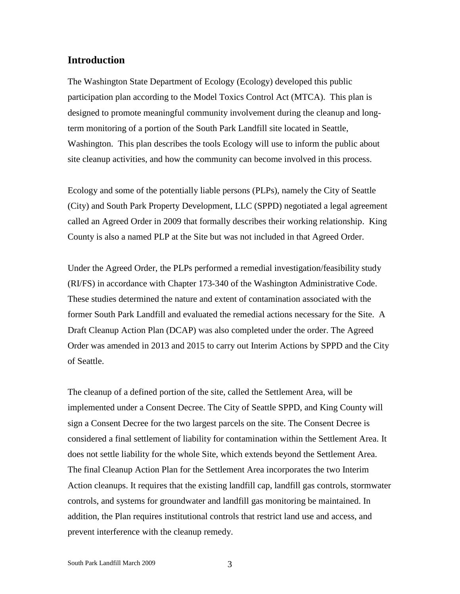#### <span id="page-2-0"></span>**Introduction**

The Washington State Department of Ecology (Ecology) developed this public participation plan according to the Model Toxics Control Act (MTCA). This plan is designed to promote meaningful community involvement during the cleanup and longterm monitoring of a portion of the South Park Landfill site located in Seattle, Washington. This plan describes the tools Ecology will use to inform the public about site cleanup activities, and how the community can become involved in this process.

Ecology and some of the potentially liable persons (PLPs), namely the City of Seattle (City) and South Park Property Development, LLC (SPPD) negotiated a legal agreement called an Agreed Order in 2009 that formally describes their working relationship. King County is also a named PLP at the Site but was not included in that Agreed Order.

Under the Agreed Order, the PLPs performed a remedial investigation/feasibility study (RI/FS) in accordance with Chapter 173-340 of the Washington Administrative Code. These studies determined the nature and extent of contamination associated with the former South Park Landfill and evaluated the remedial actions necessary for the Site. A Draft Cleanup Action Plan (DCAP) was also completed under the order. The Agreed Order was amended in 2013 and 2015 to carry out Interim Actions by SPPD and the City of Seattle.

The cleanup of a defined portion of the site, called the Settlement Area, will be implemented under a Consent Decree. The City of Seattle SPPD, and King County will sign a Consent Decree for the two largest parcels on the site. The Consent Decree is considered a final settlement of liability for contamination within the Settlement Area. It does not settle liability for the whole Site, which extends beyond the Settlement Area. The final Cleanup Action Plan for the Settlement Area incorporates the two Interim Action cleanups. It requires that the existing landfill cap, landfill gas controls, stormwater controls, and systems for groundwater and landfill gas monitoring be maintained. In addition, the Plan requires institutional controls that restrict land use and access, and prevent interference with the cleanup remedy.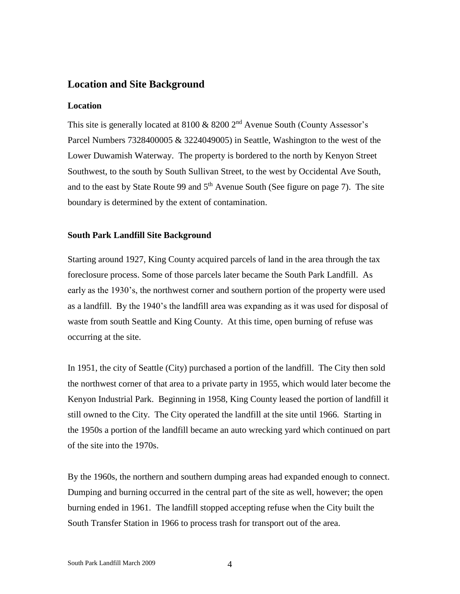## <span id="page-3-0"></span>**Location and Site Background**

#### <span id="page-3-1"></span>**Location**

This site is generally located at 8100  $\&$  8200  $2<sup>nd</sup>$  Avenue South (County Assessor's Parcel Numbers 7328400005 & 3224049005) in Seattle, Washington to the west of the Lower Duwamish Waterway. The property is bordered to the north by Kenyon Street Southwest, to the south by South Sullivan Street, to the west by Occidental Ave South, and to the east by State Route 99 and  $5<sup>th</sup>$  Avenue South (See figure on page 7). The site boundary is determined by the extent of contamination.

#### <span id="page-3-2"></span>**South Park Landfill Site Background**

Starting around 1927, King County acquired parcels of land in the area through the tax foreclosure process. Some of those parcels later became the South Park Landfill. As early as the 1930's, the northwest corner and southern portion of the property were used as a landfill. By the 1940's the landfill area was expanding as it was used for disposal of waste from south Seattle and King County. At this time, open burning of refuse was occurring at the site.

In 1951, the city of Seattle (City) purchased a portion of the landfill. The City then sold the northwest corner of that area to a private party in 1955, which would later become the Kenyon Industrial Park. Beginning in 1958, King County leased the portion of landfill it still owned to the City. The City operated the landfill at the site until 1966. Starting in the 1950s a portion of the landfill became an auto wrecking yard which continued on part of the site into the 1970s.

By the 1960s, the northern and southern dumping areas had expanded enough to connect. Dumping and burning occurred in the central part of the site as well, however; the open burning ended in 1961. The landfill stopped accepting refuse when the City built the South Transfer Station in 1966 to process trash for transport out of the area.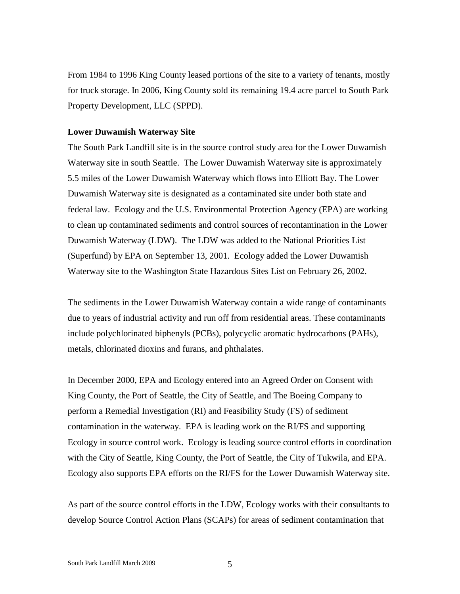From 1984 to 1996 King County leased portions of the site to a variety of tenants, mostly for truck storage. In 2006, King County sold its remaining 19.4 acre parcel to South Park Property Development, LLC (SPPD).

#### <span id="page-4-0"></span>**Lower Duwamish Waterway Site**

The South Park Landfill site is in the source control study area for the Lower Duwamish Waterway site in south Seattle. The Lower Duwamish Waterway site is approximately 5.5 miles of the Lower Duwamish Waterway which flows into Elliott Bay. The Lower Duwamish Waterway site is designated as a contaminated site under both state and federal law. Ecology and the U.S. Environmental Protection Agency (EPA) are working to clean up contaminated sediments and control sources of recontamination in the Lower Duwamish Waterway (LDW). The LDW was added to the National Priorities List (Superfund) by EPA on September 13, 2001. Ecology added the Lower Duwamish Waterway site to the Washington State Hazardous Sites List on February 26, 2002.

The sediments in the Lower Duwamish Waterway contain a wide range of contaminants due to years of industrial activity and run off from residential areas. These contaminants include polychlorinated biphenyls (PCBs), polycyclic aromatic hydrocarbons (PAHs), metals, chlorinated dioxins and furans, and phthalates.

In December 2000, EPA and Ecology entered into an Agreed Order on Consent with King County, the Port of Seattle, the City of Seattle, and The Boeing Company to perform a Remedial Investigation (RI) and Feasibility Study (FS) of sediment contamination in the waterway. EPA is leading work on the RI/FS and supporting Ecology in source control work. Ecology is leading source control efforts in coordination with the City of Seattle, King County, the Port of Seattle, the City of Tukwila, and EPA. Ecology also supports EPA efforts on the RI/FS for the Lower Duwamish Waterway site.

As part of the source control efforts in the LDW, Ecology works with their consultants to develop Source Control Action Plans (SCAPs) for areas of sediment contamination that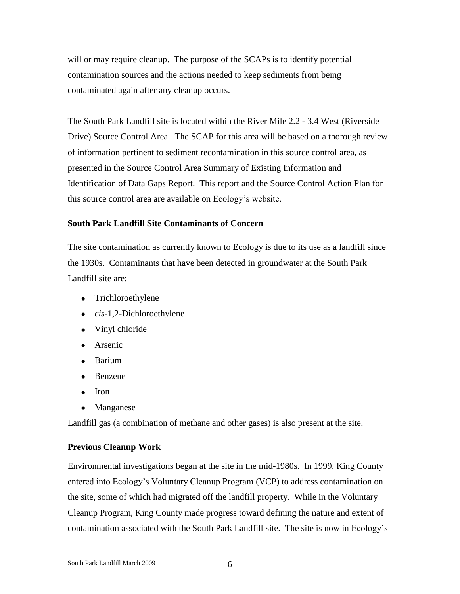will or may require cleanup. The purpose of the SCAPs is to identify potential contamination sources and the actions needed to keep sediments from being contaminated again after any cleanup occurs.

The South Park Landfill site is located within the River Mile 2.2 - 3.4 West (Riverside Drive) Source Control Area. The SCAP for this area will be based on a thorough review of information pertinent to sediment recontamination in this source control area, as presented in the Source Control Area Summary of Existing Information and Identification of Data Gaps Report. This report and the Source Control Action Plan for this source control area are available on Ecology's website.

## **South Park Landfill Site Contaminants of Concern**

The site contamination as currently known to Ecology is due to its use as a landfill since the 1930s. Contaminants that have been detected in groundwater at the South Park Landfill site are:

- Trichloroethylene
- *cis*-1,2-Dichloroethylene
- Vinyl chloride
- **Arsenic**
- Barium
- Benzene
- Iron
- Manganese

Landfill gas (a combination of methane and other gases) is also present at the site.

#### <span id="page-5-0"></span>**Previous Cleanup Work**

Environmental investigations began at the site in the mid-1980s. In 1999, King County entered into Ecology's Voluntary Cleanup Program (VCP) to address contamination on the site, some of which had migrated off the landfill property. While in the Voluntary Cleanup Program, King County made progress toward defining the nature and extent of contamination associated with the South Park Landfill site. The site is now in Ecology's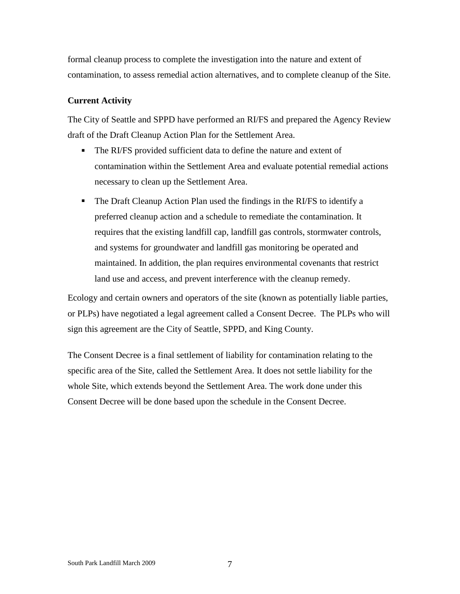formal cleanup process to complete the investigation into the nature and extent of contamination, to assess remedial action alternatives, and to complete cleanup of the Site.

## <span id="page-6-0"></span>**Current Activity**

The City of Seattle and SPPD have performed an RI/FS and prepared the Agency Review draft of the Draft Cleanup Action Plan for the Settlement Area.

- The RI/FS provided sufficient data to define the nature and extent of contamination within the Settlement Area and evaluate potential remedial actions necessary to clean up the Settlement Area.
- The Draft Cleanup Action Plan used the findings in the RI/FS to identify a preferred cleanup action and a schedule to remediate the contamination. It requires that the existing landfill cap, landfill gas controls, stormwater controls, and systems for groundwater and landfill gas monitoring be operated and maintained. In addition, the plan requires environmental covenants that restrict land use and access, and prevent interference with the cleanup remedy.

Ecology and certain owners and operators of the site (known as potentially liable parties, or PLPs) have negotiated a legal agreement called a Consent Decree. The PLPs who will sign this agreement are the City of Seattle, SPPD, and King County.

The Consent Decree is a final settlement of liability for contamination relating to the specific area of the Site, called the Settlement Area. It does not settle liability for the whole Site, which extends beyond the Settlement Area. The work done under this Consent Decree will be done based upon the schedule in the Consent Decree.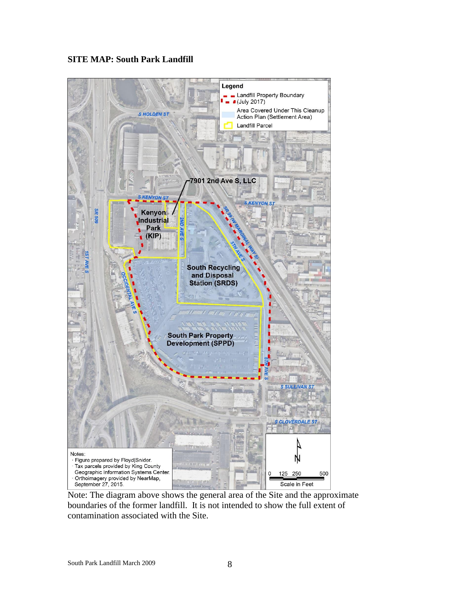#### <span id="page-7-0"></span>**SITE MAP: South Park Landfill**



Note: The diagram above shows the general area of the Site and the approximate boundaries of the former landfill. It is not intended to show the full extent of contamination associated with the Site.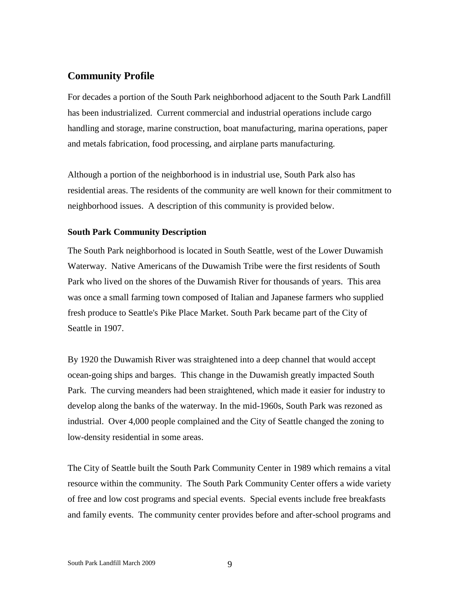## **Community Profile**

For decades a portion of the South Park neighborhood adjacent to the South Park Landfill has been industrialized. Current commercial and industrial operations include cargo handling and storage, marine construction, boat manufacturing, marina operations, paper and metals fabrication, food processing, and airplane parts manufacturing.

Although a portion of the neighborhood is in industrial use, South Park also has residential areas. The residents of the community are well known for their commitment to neighborhood issues. A description of this community is provided below.

#### <span id="page-8-0"></span>**South Park Community Description**

The South Park neighborhood is located in South Seattle, west of the Lower Duwamish Waterway. Native Americans of the Duwamish Tribe were the first residents of South Park who lived on the shores of the Duwamish River for thousands of years. This area was once a small farming town composed of Italian and Japanese farmers who supplied fresh produce to Seattle's Pike Place Market. South Park became part of the City of Seattle in 1907.

By 1920 the Duwamish River was straightened into a deep channel that would accept ocean-going ships and barges. This change in the Duwamish greatly impacted South Park. The curving meanders had been straightened, which made it easier for industry to develop along the banks of the waterway. In the mid-1960s, South Park was rezoned as industrial. Over 4,000 people complained and the City of Seattle changed the zoning to low-density residential in some areas.

The City of Seattle built the South Park Community Center in 1989 which remains a vital resource within the community. The South Park Community Center offers a wide variety of free and low cost programs and special events. Special events include free breakfasts and family events. The community center provides before and after-school programs and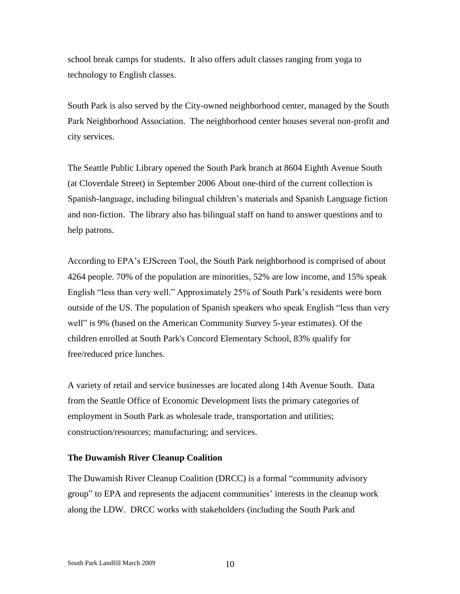school break camps for students. It also offers adult classes ranging from yoga to technology to English classes.

South Park is also served by the City-owned neighborhood center, managed by the South Park Neighborhood Association. The neighborhood center houses several non-profit and city services.

The Seattle Public Library opened the South Park branch at 8604 Eighth Avenue South (at Cloverdale Street) in September 2006 About one-third of the current collection is Spanish-language, including bilingual children's materials and Spanish Language fiction and non-fiction. The library also has bilingual staff on hand to answer questions and to help patrons.

According to EPA's EJScreen Tool, the South Park neighborhood is comprised of about 4264 people. 70% of the population are minorities, 52% are low income, and 15% speak English "less than very well." Approximately 25% of South Park's residents were born outside of the US. The population of Spanish speakers who speak English "less than very well" is 9% (based on the American Community Survey 5-year estimates). Of the children enrolled at South Park's Concord Elementary School, 83% qualify for free/reduced price lunches.

A variety of retail and service businesses are located along 14th Avenue South. Data from the Seattle Office of Economic Development lists the primary categories of employment in South Park as wholesale trade, transportation and utilities; construction/resources; manufacturing; and services.

#### <span id="page-9-0"></span>**The Duwamish River Cleanup Coalition**

The Duwamish River Cleanup Coalition (DRCC) is a formal "community advisory group" to EPA and represents the adjacent communities' interests in the cleanup work along the LDW. DRCC works with stakeholders (including the South Park and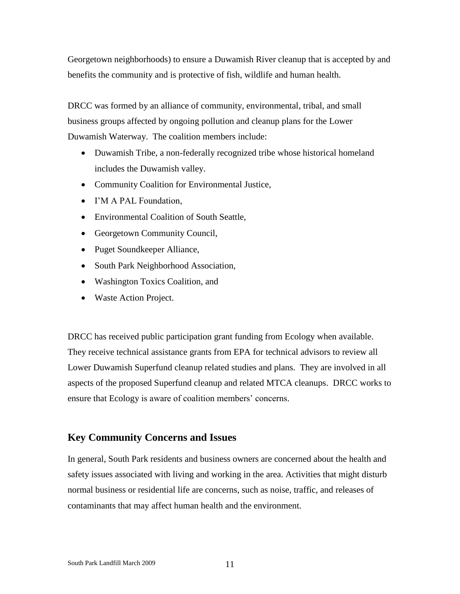Georgetown neighborhoods) to ensure a Duwamish River cleanup that is accepted by and benefits the community and is protective of fish, wildlife and human health.

DRCC was formed by an alliance of community, environmental, tribal, and small business groups affected by ongoing pollution and cleanup plans for the Lower Duwamish Waterway. The coalition members include:

- Duwamish Tribe, a non-federally recognized tribe whose historical homeland includes the Duwamish valley.
- Community Coalition for Environmental Justice,
- I'M A PAL Foundation,
- Environmental Coalition of South Seattle,
- Georgetown Community Council,
- Puget Soundkeeper Alliance,
- South Park Neighborhood Association,
- Washington Toxics Coalition, and
- Waste Action Project.

DRCC has received public participation grant funding from Ecology when available. They receive technical assistance grants from EPA for technical advisors to review all Lower Duwamish Superfund cleanup related studies and plans. They are involved in all aspects of the proposed Superfund cleanup and related MTCA cleanups. DRCC works to ensure that Ecology is aware of coalition members' concerns.

## <span id="page-10-0"></span>**Key Community Concerns and Issues**

In general, South Park residents and business owners are concerned about the health and safety issues associated with living and working in the area. Activities that might disturb normal business or residential life are concerns, such as noise, traffic, and releases of contaminants that may affect human health and the environment.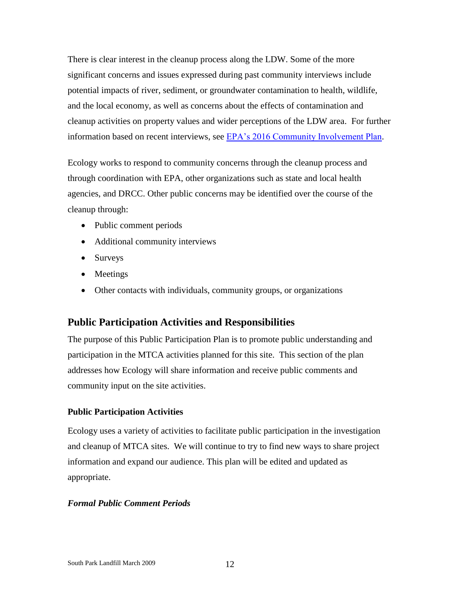There is clear interest in the cleanup process along the LDW. Some of the more significant concerns and issues expressed during past community interviews include potential impacts of river, sediment, or groundwater contamination to health, wildlife, and the local economy, as well as concerns about the effects of contamination and cleanup activities on property values and wider perceptions of the LDW area. For further information based on recent interviews, see [EPA's 2016 Community Involvement Plan.](https://semspub.epa.gov/work/10/100033896.pdf)

Ecology works to respond to community concerns through the cleanup process and through coordination with EPA, other organizations such as state and local health agencies, and DRCC. Other public concerns may be identified over the course of the cleanup through:

- Public comment periods
- Additional community interviews
- Surveys
- Meetings
- Other contacts with individuals, community groups, or organizations

## <span id="page-11-0"></span>**Public Participation Activities and Responsibilities**

The purpose of this Public Participation Plan is to promote public understanding and participation in the MTCA activities planned for this site. This section of the plan addresses how Ecology will share information and receive public comments and community input on the site activities.

## <span id="page-11-1"></span>**Public Participation Activities**

Ecology uses a variety of activities to facilitate public participation in the investigation and cleanup of MTCA sites. We will continue to try to find new ways to share project information and expand our audience. This plan will be edited and updated as appropriate.

## <span id="page-11-2"></span>*Formal Public Comment Periods*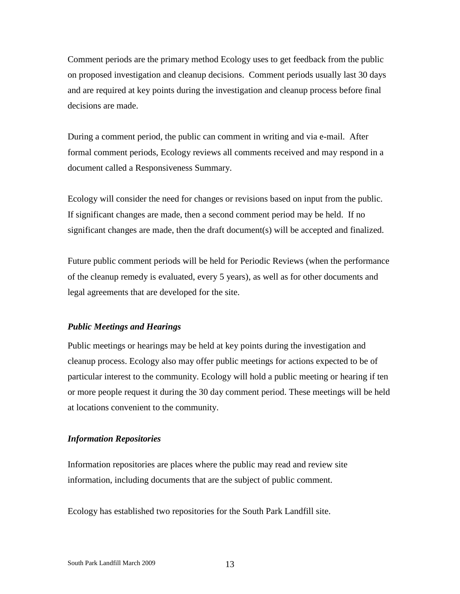Comment periods are the primary method Ecology uses to get feedback from the public on proposed investigation and cleanup decisions. Comment periods usually last 30 days and are required at key points during the investigation and cleanup process before final decisions are made.

During a comment period, the public can comment in writing and via e-mail. After formal comment periods, Ecology reviews all comments received and may respond in a document called a Responsiveness Summary.

Ecology will consider the need for changes or revisions based on input from the public. If significant changes are made, then a second comment period may be held. If no significant changes are made, then the draft document(s) will be accepted and finalized.

Future public comment periods will be held for Periodic Reviews (when the performance of the cleanup remedy is evaluated, every 5 years), as well as for other documents and legal agreements that are developed for the site.

#### <span id="page-12-0"></span>*Public Meetings and Hearings*

Public meetings or hearings may be held at key points during the investigation and cleanup process. Ecology also may offer public meetings for actions expected to be of particular interest to the community. Ecology will hold a public meeting or hearing if ten or more people request it during the 30 day comment period. These meetings will be held at locations convenient to the community.

#### <span id="page-12-1"></span>*Information Repositories*

Information repositories are places where the public may read and review site information, including documents that are the subject of public comment.

Ecology has established two repositories for the South Park Landfill site.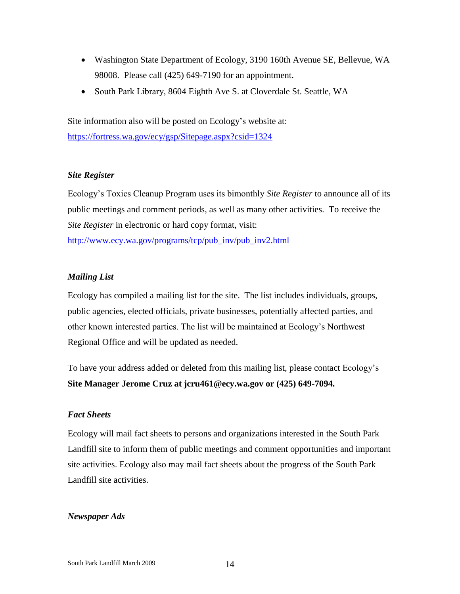- Washington State Department of Ecology, 3190 160th Avenue SE, Bellevue, WA 98008. Please call (425) 649-7190 for an appointment.
- South Park Library, 8604 Eighth Ave S. at Cloverdale St. Seattle, WA

Site information also will be posted on Ecology's website at: <https://fortress.wa.gov/ecy/gsp/Sitepage.aspx?csid=1324>

#### <span id="page-13-0"></span>*Site Register*

Ecology's Toxics Cleanup Program uses its bimonthly *Site Register* to announce all of its public meetings and comment periods, as well as many other activities. To receive the *Site Register* in electronic or hard copy format, visit: [http://www.ecy.wa.gov/programs/tcp/pub\\_inv/pub\\_inv2.html](http://www.ecy.wa.gov/programs/tcp/pub_inv/pub_inv2.html)

#### <span id="page-13-1"></span>*Mailing List*

Ecology has compiled a mailing list for the site. The list includes individuals, groups, public agencies, elected officials, private businesses, potentially affected parties, and other known interested parties. The list will be maintained at Ecology's Northwest Regional Office and will be updated as needed.

To have your address added or deleted from this mailing list, please contact Ecology's **Site Manager Jerome Cruz at jcru461@ecy.wa.gov or (425) 649-7094.**

#### <span id="page-13-2"></span>*Fact Sheets*

Ecology will mail fact sheets to persons and organizations interested in the South Park Landfill site to inform them of public meetings and comment opportunities and important site activities. Ecology also may mail fact sheets about the progress of the South Park Landfill site activities.

#### <span id="page-13-3"></span>*Newspaper Ads*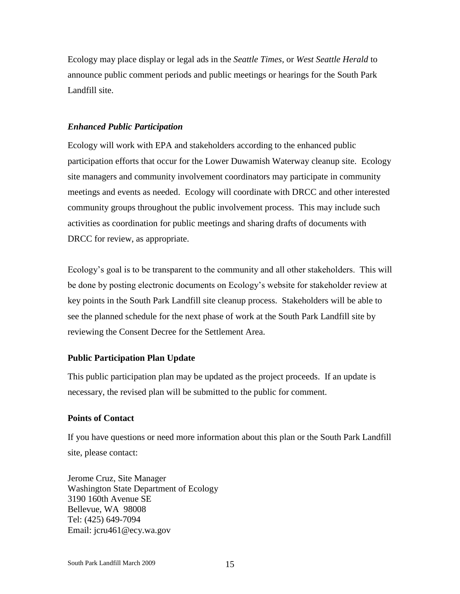Ecology may place display or legal ads in the *Seattle Times,* or *West Seattle Herald* to announce public comment periods and public meetings or hearings for the South Park Landfill site.

### <span id="page-14-0"></span>*Enhanced Public Participation*

Ecology will work with EPA and stakeholders according to the enhanced public participation efforts that occur for the Lower Duwamish Waterway cleanup site. Ecology site managers and community involvement coordinators may participate in community meetings and events as needed. Ecology will coordinate with DRCC and other interested community groups throughout the public involvement process. This may include such activities as coordination for public meetings and sharing drafts of documents with DRCC for review, as appropriate.

Ecology's goal is to be transparent to the community and all other stakeholders. This will be done by posting electronic documents on Ecology's website for stakeholder review at key points in the South Park Landfill site cleanup process. Stakeholders will be able to see the planned schedule for the next phase of work at the South Park Landfill site by reviewing the Consent Decree for the Settlement Area.

#### <span id="page-14-1"></span>**Public Participation Plan Update**

This public participation plan may be updated as the project proceeds. If an update is necessary, the revised plan will be submitted to the public for comment.

## <span id="page-14-2"></span>**Points of Contact**

If you have questions or need more information about this plan or the South Park Landfill site, please contact:

Jerome Cruz, Site Manager Washington State Department of Ecology 3190 160th Avenue SE Bellevue, WA 98008 Tel: (425) 649-7094 Email: jcru461@ecy.wa.gov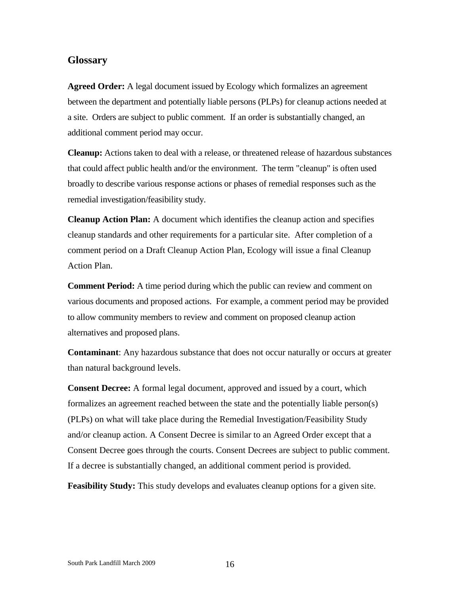### <span id="page-15-0"></span>**Glossary**

**Agreed Order:** A legal document issued by Ecology which formalizes an agreement between the department and potentially liable persons (PLPs) for cleanup actions needed at a site. Orders are subject to public comment. If an order is substantially changed, an additional comment period may occur.

**Cleanup:** Actions taken to deal with a release, or threatened release of hazardous substances that could affect public health and/or the environment. The term "cleanup" is often used broadly to describe various response actions or phases of remedial responses such as the remedial investigation/feasibility study.

**Cleanup Action Plan:** A document which identifies the cleanup action and specifies cleanup standards and other requirements for a particular site. After completion of a comment period on a Draft Cleanup Action Plan, Ecology will issue a final Cleanup Action Plan.

**Comment Period:** A time period during which the public can review and comment on various documents and proposed actions. For example, a comment period may be provided to allow community members to review and comment on proposed cleanup action alternatives and proposed plans.

**Contaminant**: Any hazardous substance that does not occur naturally or occurs at greater than natural background levels.

**Consent Decree:** A formal legal document, approved and issued by a court, which formalizes an agreement reached between the state and the potentially liable person(s) (PLPs) on what will take place during the Remedial Investigation/Feasibility Study and/or cleanup action. A Consent Decree is similar to an Agreed Order except that a Consent Decree goes through the courts. Consent Decrees are subject to public comment. If a decree is substantially changed, an additional comment period is provided.

**Feasibility Study:** This study develops and evaluates cleanup options for a given site.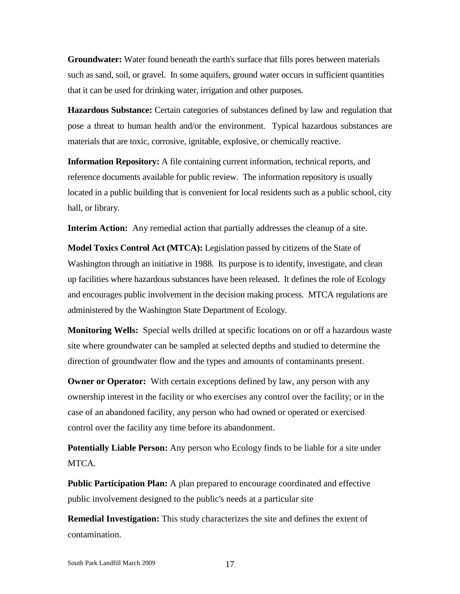**Groundwater:** Water found beneath the earth's surface that fills pores between materials such as sand, soil, or gravel. In some aquifers, ground water occurs in sufficient quantities that it can be used for drinking water, irrigation and other purposes.

**Hazardous Substance:** Certain categories of substances defined by law and regulation that pose a threat to human health and/or the environment. Typical hazardous substances are materials that are toxic, corrosive, ignitable, explosive, or chemically reactive.

**Information Repository:** A file containing current information, technical reports, and reference documents available for public review. The information repository is usually located in a public building that is convenient for local residents such as a public school, city hall, or library.

**Interim Action:** Any remedial action that partially addresses the cleanup of a site.

**Model Toxics Control Act (MTCA):** Legislation passed by citizens of the State of Washington through an initiative in 1988. Its purpose is to identify, investigate, and clean up facilities where hazardous substances have been released. It defines the role of Ecology and encourages public involvement in the decision making process. MTCA regulations are administered by the Washington State Department of Ecology.

**Monitoring Wells:** Special wells drilled at specific locations on or off a hazardous waste site where groundwater can be sampled at selected depths and studied to determine the direction of groundwater flow and the types and amounts of contaminants present.

**Owner or Operator:** With certain exceptions defined by law, any person with any ownership interest in the facility or who exercises any control over the facility; or in the case of an abandoned facility, any person who had owned or operated or exercised control over the facility any time before its abandonment.

**Potentially Liable Person:** Any person who Ecology finds to be liable for a site under MTCA.

**Public Participation Plan:** A plan prepared to encourage coordinated and effective public involvement designed to the public's needs at a particular site

**Remedial Investigation:** This study characterizes the site and defines the extent of contamination.